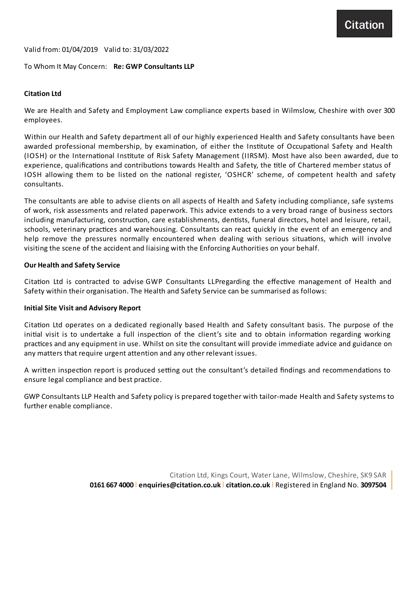Citation

Valid from: 01/04/2019 Valid to: 31/03/2022

# To Whom ItMay Concern: **Re: GWP Consultants LLP**

# **Citation Ltd**

We are Health and Safety and Employment Law compliance experts based in Wilmslow, Cheshire with over 300 employees.

Within our Health and Safety department all of our highly experienced Health and Safety consultants have been awarded professional membership, by examination, of either the Institute of Occupational Safety and Health (IOSH) or the International Institute of Risk Safety Management (IIRSM). Most have also been awarded, due to experience, qualifications and contributions towards Health and Safety, the title of Chartered member status of IOSH allowing them to be listed on the national register, 'OSHCR' scheme, of competent health and safety consultants.

The consultants are able to advise clients on all aspects of Health and Safety including compliance, safe systems of work, risk assessments and related paperwork. This advice extends to a very broad range of business sectors including manufacturing, construction, care establishments, dentists, funeral directors, hotel and leisure, retail, schools, veterinary practices and warehousing. Consultants can react quickly in the event of an emergency and help remove the pressures normally encountered when dealing with serious situations, which will involve visiting the scene of the accident and liaising with the Enforcing Authorities on your behalf.

### **Our Health and Safety Service**

Citation Ltd is contracted to advise GWP Consultants LLPregarding the effective management of Health and Safety within their organisation. The Health and Safety Service can be summarised as follows:

### **InitialSite Visit and Advisory Report**

Citation Ltd operates on a dedicated regionally based Health and Safety consultant basis. The purpose of the initial visit is to undertake a full inspection of the client's site and to obtain information regarding working practices and any equipment in use. Whilst on site the consultant will provide immediate advice and guidance on any matters that require urgent attention and any other relevant issues.

A written inspection report is produced setting out the consultant's detailed findings and recommendations to ensure legal compliance and best practice.

GWP Consultants LLP Health and Safety policy is prepared together with tailor-made Health and Safety systems to further enable compliance.

> Citation Ltd, Kings Court, Water Lane, Wilmslow, Cheshire, SK9 SAR **0161 667 4000** l **enquiries@citation.co.uk**l **citation.co.uk**l Registered in England No. **3097504**